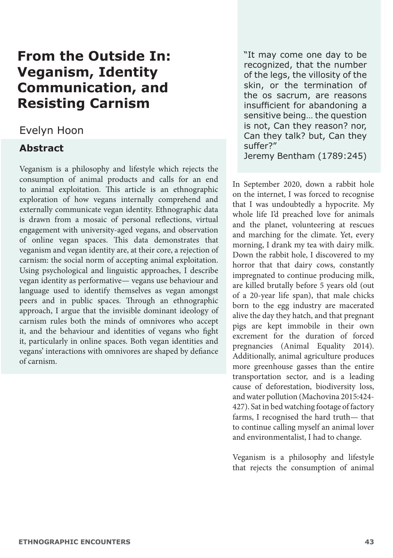# **From the Outside In: Veganism, Identity Communication, and Resisting Carnism**

# Evelyn Hoon

# **Abstract**

Veganism is a philosophy and lifestyle which rejects the consumption of animal products and calls for an end to animal exploitation. This article is an ethnographic exploration of how vegans internally comprehend and externally communicate vegan identity. Ethnographic data is drawn from a mosaic of personal reflections, virtual engagement with university-aged vegans, and observation of online vegan spaces. This data demonstrates that veganism and vegan identity are, at their core, a rejection of carnism: the social norm of accepting animal exploitation. Using psychological and linguistic approaches, I describe vegan identity as performative— vegans use behaviour and language used to identify themselves as vegan amongst peers and in public spaces. Through an ethnographic approach, I argue that the invisible dominant ideology of carnism rules both the minds of omnivores who accept it, and the behaviour and identities of vegans who fight it, particularly in online spaces. Both vegan identities and vegans' interactions with omnivores are shaped by defiance of carnism.

"It may come one day to be recognized, that the number of the legs, the villosity of the skin, or the termination of the os sacrum, are reasons insufficient for abandoning a sensitive being… the question is not, Can they reason? nor, Can they talk? but, Can they suffer?" Jeremy Bentham (1789:245)

In September 2020, down a rabbit hole on the internet, I was forced to recognise that I was undoubtedly a hypocrite. My whole life I'd preached love for animals and the planet, volunteering at rescues and marching for the climate. Yet, every morning, I drank my tea with dairy milk. Down the rabbit hole, I discovered to my horror that that dairy cows, constantly impregnated to continue producing milk, are killed brutally before 5 years old (out of a 20-year life span), that male chicks born to the egg industry are macerated alive the day they hatch, and that pregnant pigs are kept immobile in their own excrement for the duration of forced pregnancies (Animal Equality 2014). Additionally, animal agriculture produces more greenhouse gasses than the entire transportation sector, and is a leading cause of deforestation, biodiversity loss, and water pollution (Machovina 2015:424- 427). Sat in bed watching footage of factory farms, I recognised the hard truth— that to continue calling myself an animal lover and environmentalist, I had to change.

Veganism is a philosophy and lifestyle that rejects the consumption of animal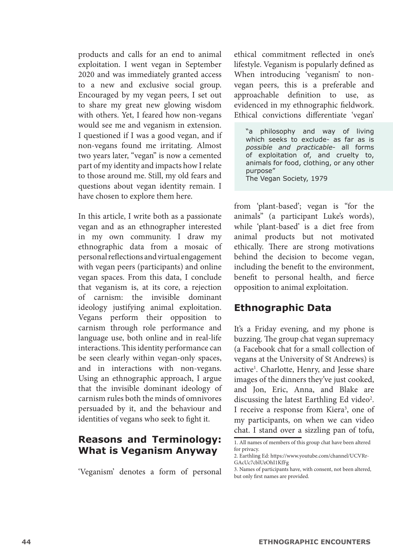products and calls for an end to animal exploitation. I went vegan in September 2020 and was immediately granted access to a new and exclusive social group. Encouraged by my vegan peers, I set out to share my great new glowing wisdom with others. Yet, I feared how non-vegans would see me and veganism in extension. I questioned if I was a good vegan, and if non-vegans found me irritating. Almost two years later, "vegan" is now a cemented part of my identity and impacts how I relate to those around me. Still, my old fears and questions about vegan identity remain. I have chosen to explore them here.

In this article, I write both as a passionate vegan and as an ethnographer interested in my own community. I draw my ethnographic data from a mosaic of personal reflections and virtual engagement with vegan peers (participants) and online vegan spaces. From this data, I conclude that veganism is, at its core, a rejection of carnism: the invisible dominant ideology justifying animal exploitation. Vegans perform their opposition to carnism through role performance and language use, both online and in real-life interactions. This identity performance can be seen clearly within vegan-only spaces, and in interactions with non-vegans. Using an ethnographic approach, I argue that the invisible dominant ideology of carnism rules both the minds of omnivores persuaded by it, and the behaviour and identities of vegans who seek to fight it.

#### **Reasons and Terminology: What is Veganism Anyway**

'Veganism' denotes a form of personal

ethical commitment reflected in one's lifestyle. Veganism is popularly defined as When introducing 'veganism' to nonvegan peers, this is a preferable and approachable definition to use, as evidenced in my ethnographic fieldwork. Ethical convictions differentiate 'vegan'

"a philosophy and way of living which seeks to exclude- as far as is *possible and practicable*- all forms of exploitation of, and cruelty to, animals for food, clothing, or any other purpose" The Vegan Society, 1979

from 'plant-based'; vegan is "for the animals" (a participant Luke's words), while 'plant-based' is a diet free from animal products but not motivated ethically. There are strong motivations behind the decision to become vegan, including the benefit to the environment, benefit to personal health, and fierce opposition to animal exploitation.

# **Ethnographic Data**

It's a Friday evening, and my phone is buzzing. The group chat vegan supremacy (a Facebook chat for a small collection of vegans at the University of St Andrews) is active<sup>1</sup>. Charlotte, Henry, and Jesse share images of the dinners they've just cooked, and Jon, Eric, Anna, and Blake are discussing the latest Earthling Ed video<sup>2</sup>. I receive a response from Kiera<sup>3</sup>, one of my participants, on when we can video chat. I stand over a sizzling pan of tofu,

<sup>1.</sup> All names of members of this group chat have been altered for privacy.

<sup>2.</sup> Earthling Ed: https://www.youtube.com/channel/UCVRr-GAcUc7cblUzOhI1KfFg

<sup>3.</sup> Names of participants have, with consent, not been altered, but only first names are provided.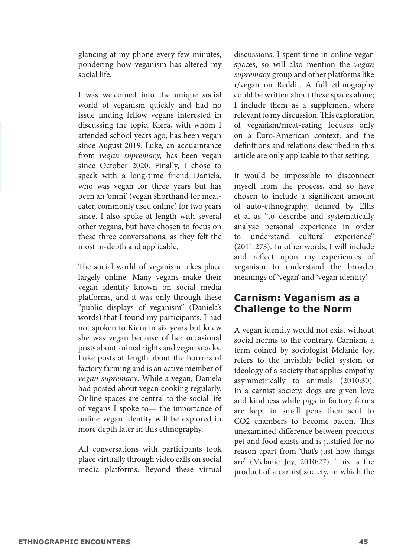glancing at my phone every few minutes, pondering how veganism has altered my social life.

I was welcomed into the unique social world of veganism quickly and had no issue finding fellow vegans interested in discussing the topic. Kiera, with whom I attended school years ago, has been vegan since August 2019. Luke, an acquaintance from *vegan supremacy,* has been vegan since October 2020. Finally, I chose to speak with a long-time friend Daniela, who was vegan for three years but has been an 'omni' (vegan shorthand for meateater, commonly used online) for two years since. I also spoke at length with several other vegans, but have chosen to focus on these three conversations, as they felt the most in-depth and applicable.

The social world of veganism takes place largely online. Many vegans make their vegan identity known on social media platforms, and it was only through these "public displays of veganism" (Daniela's words) that I found my participants. I had not spoken to Kiera in six years but knew she was vegan because of her occasional posts about animal rights and vegan snacks. Luke posts at length about the horrors of factory farming and is an active member of *vegan supremacy*. While a vegan, Daniela had posted about vegan cooking regularly. Online spaces are central to the social life of vegans I spoke to— the importance of online vegan identity will be explored in more depth later in this ethnography.

All conversations with participants took place virtually through video calls on social media platforms. Beyond these virtual discussions, I spent time in online vegan spaces, so will also mention the *vegan supremacy* group and other platforms like r/vegan on Reddit. A full ethnography could be written about these spaces alone; I include them as a supplement where relevant to my discussion. This exploration of veganism/meat-eating focuses only on a Euro-American context, and the definitions and relations described in this article are only applicable to that setting.

It would be impossible to disconnect myself from the process, and so have chosen to include a significant amount of auto-ethnography, defined by Ellis et al as "to describe and systematically analyse personal experience in order to understand cultural experience" (2011:273). In other words, I will include and reflect upon my experiences of veganism to understand the broader meanings of 'vegan' and 'vegan identity'.

#### **Carnism: Veganism as a Challenge to the Norm**

A vegan identity would not exist without social norms to the contrary. Carnism, a term coined by sociologist Melanie Joy, refers to the invisible belief system or ideology of a society that applies empathy asymmetrically to animals (2010:30). In a carnist society, dogs are given love and kindness while pigs in factory farms are kept in small pens then sent to CO2 chambers to become bacon. This unexamined difference between precious pet and food exists and is justified for no reason apart from 'that's just how things are' (Melanie Joy, 2010:27). This is the product of a carnist society, in which the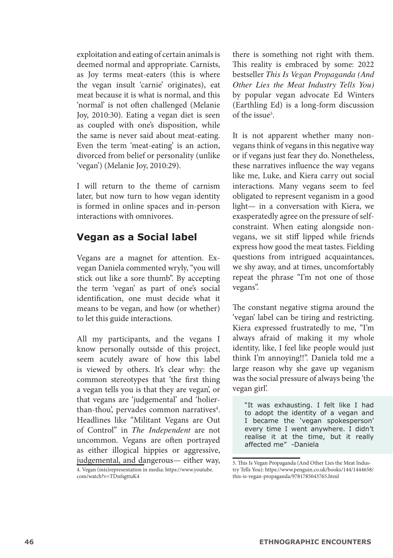exploitation and eating of certain animals is deemed normal and appropriate. Carnists, as Joy terms meat-eaters (this is where the vegan insult 'carnie' originates), eat meat because it is what is normal, and this 'normal' is not often challenged (Melanie Joy, 2010:30). Eating a vegan diet is seen as coupled with one's disposition, while the same is never said about meat-eating. Even the term 'meat-eating' is an action, divorced from belief or personality (unlike 'vegan') (Melanie Joy, 2010:29).

I will return to the theme of carnism later, but now turn to how vegan identity is formed in online spaces and in-person interactions with omnivores.

#### **Vegan as a Social label**

Vegans are a magnet for attention. Exvegan Daniela commented wryly, "you will stick out like a sore thumb". By accepting the term 'vegan' as part of one's social identification, one must decide what it means to be vegan, and how (or whether) to let this guide interactions.

All my participants, and the vegans I know personally outside of this project, seem acutely aware of how this label is viewed by others. It's clear why: the common stereotypes that 'the first thing a vegan tells you is that they are vegan', or that vegans are 'judgemental' and 'holierthan-thou', pervades common narratives<sup>4</sup>. Headlines like "Militant Vegans are Out of Control" in *The Independent* are not uncommon. Vegans are often portrayed as either illogical hippies or aggressive, judgemental, and dangerous— either way,

there is something not right with them. This reality is embraced by some: 2022 bestseller *This Is Vegan Propaganda (And Other Lies the Meat Industry Tells You)*  by popular vegan advocate Ed Winters (Earthling Ed) is a long-form discussion of the issue<sup>5</sup>.

It is not apparent whether many nonvegans think of vegans in this negative way or if vegans just fear they do. Nonetheless, these narratives influence the way vegans like me, Luke, and Kiera carry out social interactions. Many vegans seem to feel obligated to represent veganism in a good light— in a conversation with Kiera, we exasperatedly agree on the pressure of selfconstraint. When eating alongside nonvegans, we sit stiff lipped while friends express how good the meat tastes. Fielding questions from intrigued acquaintances, we shy away, and at times, uncomfortably repeat the phrase "I'm not one of those vegans".

The constant negative stigma around the 'vegan' label can be tiring and restricting. Kiera expressed frustratedly to me, "I'm always afraid of making it my whole identity, like, I feel like people would just think I'm annoying!!". Daniela told me a large reason why she gave up veganism was the social pressure of always being 'the vegan girl'.

"It was exhausting. I felt like I had to adopt the identity of a vegan and I became the 'vegan spokesperson' every time I went anywhere. I didn't realise it at the time, but it really affected me" -Daniela

<sup>4.</sup> Vegan (mis)representation in media: https://www.youtube. com/watch?v=TDnfsgttuK4

<sup>5.</sup> This Is Vegan Propaganda (And Other Lies the Meat Industry Tells You): https://www.penguin.co.uk/books/144/1444658/ this-is-vegan-propaganda/9781785043765.html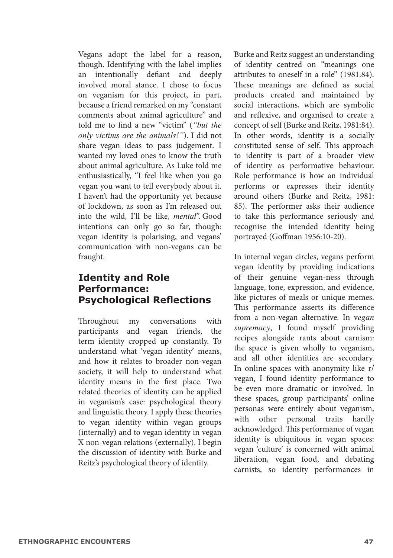Vegans adopt the label for a reason, though. Identifying with the label implies an intentionally defiant and deeply involved moral stance. I chose to focus on veganism for this project, in part, because a friend remarked on my "constant comments about animal agriculture" and told me to find a new "victim" (*"but the only victims are the animals!"*). I did not share vegan ideas to pass judgement. I wanted my loved ones to know the truth about animal agriculture. As Luke told me enthusiastically, "I feel like when you go vegan you want to tell everybody about it. I haven't had the opportunity yet because of lockdown, as soon as I'm released out into the wild, I'll be like, *mental*". Good intentions can only go so far, though: vegan identity is polarising, and vegans' communication with non-vegans can be fraught.

# **Identity and Role Performance: Psychological Reflections**

Throughout my conversations with participants and vegan friends, the term identity cropped up constantly. To understand what 'vegan identity' means, and how it relates to broader non-vegan society, it will help to understand what identity means in the first place. Two related theories of identity can be applied in veganism's case: psychological theory and linguistic theory. I apply these theories to vegan identity within vegan groups (internally) and to vegan identity in vegan X non-vegan relations (externally). I begin the discussion of identity with Burke and Reitz's psychological theory of identity.

Burke and Reitz suggest an understanding of identity centred on "meanings one attributes to oneself in a role" (1981:84). These meanings are defined as social products created and maintained by social interactions, which are symbolic and reflexive, and organised to create a concept of self (Burke and Reitz, 1981:84). In other words, identity is a socially constituted sense of self. This approach to identity is part of a broader view of identity as performative behaviour. Role performance is how an individual performs or expresses their identity around others (Burke and Reitz, 1981: 85). The performer asks their audience to take this performance seriously and recognise the intended identity being portrayed (Goffman 1956:10-20).

In internal vegan circles, vegans perform vegan identity by providing indications of their genuine vegan-ness through language, tone, expression, and evidence, like pictures of meals or unique memes. This performance asserts its difference from a non-vegan alternative. In v*egan supremacy*, I found myself providing recipes alongside rants about carnism: the space is given wholly to veganism, and all other identities are secondary. In online spaces with anonymity like r/ vegan, I found identity performance to be even more dramatic or involved. In these spaces, group participants' online personas were entirely about veganism, with other personal traits hardly acknowledged. This performance of vegan identity is ubiquitous in vegan spaces: vegan 'culture' is concerned with animal liberation, vegan food, and debating carnists, so identity performances in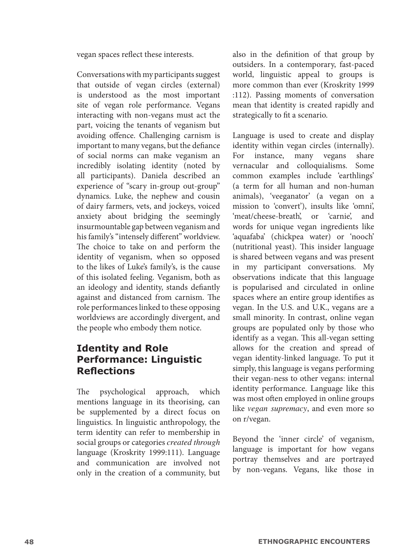vegan spaces reflect these interests.

Conversations with my participants suggest that outside of vegan circles (external) is understood as the most important site of vegan role performance. Vegans interacting with non-vegans must act the part, voicing the tenants of veganism but avoiding offence. Challenging carnism is important to many vegans, but the defiance of social norms can make veganism an incredibly isolating identity (noted by all participants). Daniela described an experience of "scary in-group out-group" dynamics. Luke, the nephew and cousin of dairy farmers, vets, and jockeys, voiced anxiety about bridging the seemingly insurmountable gap between veganism and his family's "intensely different" worldview. The choice to take on and perform the identity of veganism, when so opposed to the likes of Luke's family's, is the cause of this isolated feeling. Veganism, both as an ideology and identity, stands defiantly against and distanced from carnism. The role performances linked to these opposing worldviews are accordingly divergent, and the people who embody them notice.

# **Identity and Role Performance: Linguistic Reflections**

The psychological approach, which mentions language in its theorising, can be supplemented by a direct focus on linguistics. In linguistic anthropology, the term identity can refer to membership in social groups or categories *created through*  language (Kroskrity 1999:111). Language and communication are involved not only in the creation of a community, but also in the definition of that group by outsiders. In a contemporary, fast-paced world, linguistic appeal to groups is more common than ever (Kroskrity 1999 :112). Passing moments of conversation mean that identity is created rapidly and strategically to fit a scenario.

Language is used to create and display identity within vegan circles (internally). For instance, many vegans share<br>vernacular and colloquialisms. Some vernacular and colloquialisms. common examples include 'earthlings' (a term for all human and non-human animals), 'veeganator' (a vegan on a mission to 'convert'), insults like 'omni', 'meat/cheese-breath', or 'carnie', and words for unique vegan ingredients like 'aquafaba' (chickpea water) or 'nooch' (nutritional yeast). This insider language is shared between vegans and was present in my participant conversations. My observations indicate that this language is popularised and circulated in online spaces where an entire group identifies as vegan. In the U.S. and U.K., vegans are a small minority. In contrast, online vegan groups are populated only by those who identify as a vegan. This all-vegan setting allows for the creation and spread of vegan identity-linked language. To put it simply, this language is vegans performing their vegan-ness to other vegans: internal identity performance. Language like this was most often employed in online groups like *vegan supremacy*, and even more so on r/vegan.

Beyond the 'inner circle' of veganism, language is important for how vegans portray themselves and are portrayed by non-vegans. Vegans, like those in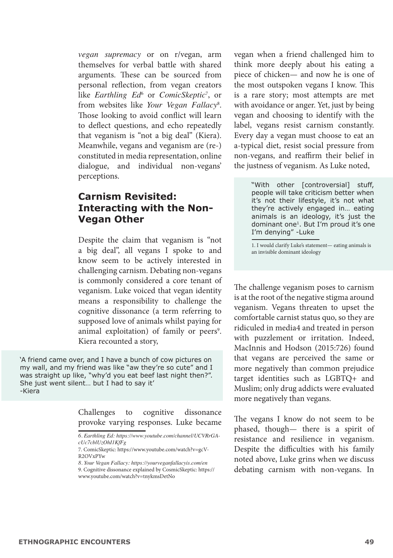*vegan supremacy* or on r/vegan, arm themselves for verbal battle with shared arguments. These can be sourced from personal reflection, from vegan creators like *Earthling Ed*<sup>6</sup> or *ComicSkeptic*<sup>7</sup>, or from websites like *Your Vegan Fallacy*<sup>8</sup> . Those looking to avoid conflict will learn to deflect questions, and echo repeatedly that veganism is "not a big deal" (Kiera). Meanwhile, vegans and veganism are (re-) constituted in media representation, online dialogue, and individual non-vegans' perceptions.

#### **Carnism Revisited: Interacting with the Non-Vegan Other**

Despite the claim that veganism is "not a big deal", all vegans I spoke to and know seem to be actively interested in challenging carnism. Debating non-vegans is commonly considered a core tenant of veganism. Luke voiced that vegan identity means a responsibility to challenge the cognitive dissonance (a term referring to supposed love of animals whilst paying for animal exploitation) of family or peers<sup>9</sup>. Kiera recounted a story,

'A friend came over, and I have a bunch of cow pictures on my wall, and my friend was like "aw they're so cute" and I was straight up like, "why'd you eat beef last night then?". She just went silent… but I had to say it' -Kiera

> Challenges to cognitive dissonance provoke varying responses. Luke became

vegan when a friend challenged him to think more deeply about his eating a piece of chicken— and now he is one of the most outspoken vegans I know. This is a rare story; most attempts are met with avoidance or anger. Yet, just by being vegan and choosing to identify with the label, vegans resist carnism constantly. Every day a vegan must choose to eat an a-typical diet, resist social pressure from non-vegans, and reaffirm their belief in the justness of veganism. As Luke noted,

> "With other [controversial] stuff, people will take criticism better when it's not their lifestyle, it's not what they're actively engaged in… eating animals is an ideology, it's just the dominant one1. But I'm proud it's one I'm denying" -Luke

1. I would clarify Luke's statement— eating animals is an invisible dominant ideology

The challenge veganism poses to carnism is at the root of the negative stigma around veganism. Vegans threaten to upset the comfortable carnist status quo, so they are ridiculed in media4 and treated in person with puzzlement or irritation. Indeed, MacInnis and Hodson (2015:726) found that vegans are perceived the same or more negatively than common prejudice target identities such as LGBTQ+ and Muslim; only drug addicts were evaluated more negatively than vegans.

The vegans I know do not seem to be phased, though— there is a spirit of resistance and resilience in veganism. Despite the difficulties with his family noted above, Luke grins when we discuss debating carnism with non-vegans. In

*<sup>6.</sup> Earthling Ed: https://www.youtube.com/channel/UCVRrGAcUc7cblUzOhI1KfFg*

<sup>7.</sup> ComicSkeptic: https://www.youtube.com/watch?v=gcV-R2OVxPYw

*<sup>8.</sup> Your Vegan Fallacy: https://yourveganfallacyis.com/en*

<sup>9.</sup> Cognitive dissonance explained by CosmicSkeptic: https:// www.youtube.com/watch?v=tnykmsDetNo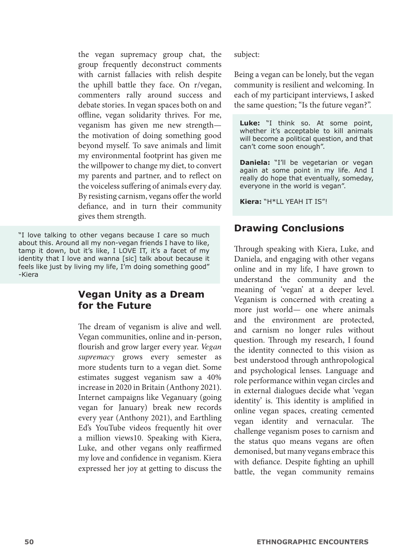the vegan supremacy group chat, the group frequently deconstruct comments with carnist fallacies with relish despite the uphill battle they face. On r/vegan, commenters rally around success and debate stories. In vegan spaces both on and offline, vegan solidarity thrives. For me, veganism has given me new strength the motivation of doing something good beyond myself. To save animals and limit my environmental footprint has given me the willpower to change my diet, to convert my parents and partner, and to reflect on the voiceless suffering of animals every day. By resisting carnism, vegans offer the world defiance, and in turn their community gives them strength.

"I love talking to other vegans because I care so much about this. Around all my non-vegan friends I have to like, tamp it down, but it's like, I LOVE IT, it's a facet of my identity that I love and wanna [sic] talk about because it feels like just by living my life, I'm doing something good" -Kiera

#### **Vegan Unity as a Dream for the Future**

The dream of veganism is alive and well. Vegan communities, online and in-person, flourish and grow larger every year. *Vegan supremacy* grows every semester as more students turn to a vegan diet. Some estimates suggest veganism saw a 40% increase in 2020 in Britain (Anthony 2021). Internet campaigns like Veganuary (going vegan for January) break new records every year (Anthony 2021), and Earthling Ed's YouTube videos frequently hit over a million views10. Speaking with Kiera, Luke, and other vegans only reaffirmed my love and confidence in veganism. Kiera expressed her joy at getting to discuss the

subject:

Being a vegan can be lonely, but the vegan community is resilient and welcoming. In each of my participant interviews, I asked the same question; "Is the future vegan?".

**Luke:** "I think so. At some point, whether it's acceptable to kill animals will become a political question, and that can't come soon enough".

**Daniela:** "I'll be vegetarian or vegan again at some point in my life. And I really do hope that eventually, someday, everyone in the world is vegan".

**Kiera:** "H\*LL YEAH IT IS"!

#### **Drawing Conclusions**

Through speaking with Kiera, Luke, and Daniela, and engaging with other vegans online and in my life, I have grown to understand the community and the meaning of 'vegan' at a deeper level. Veganism is concerned with creating a more just world— one where animals and the environment are protected, and carnism no longer rules without question. Through my research, I found the identity connected to this vision as best understood through anthropological and psychological lenses. Language and role performance within vegan circles and in external dialogues decide what 'vegan identity' is. This identity is amplified in online vegan spaces, creating cemented vegan identity and vernacular. The challenge veganism poses to carnism and the status quo means vegans are often demonised, but many vegans embrace this with defiance. Despite fighting an uphill battle, the vegan community remains